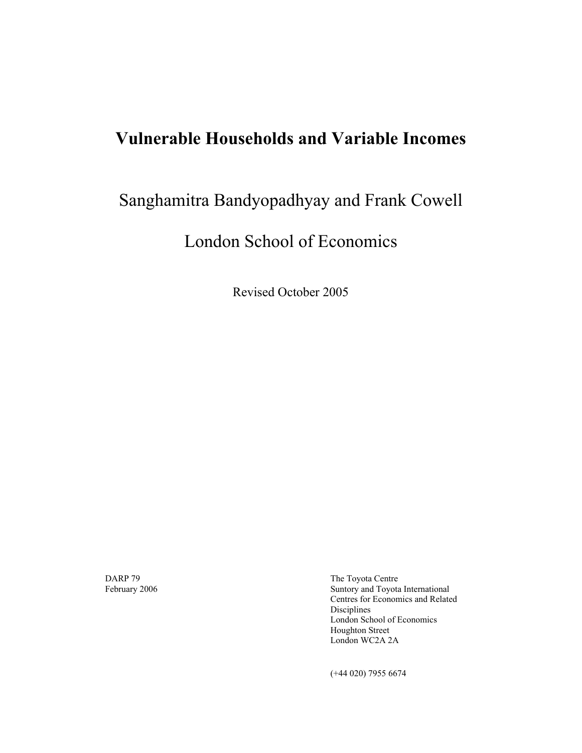## **Vulnerable Households and Variable Incomes**

# Sanghamitra Bandyopadhyay and Frank Cowell

# London School of Economics

Revised October 2005

DARP 79<br>
February 2006<br>
Suntory and Toyota Suntory and Toyota International Centres for Economics and Related Disciplines London School of Economics Houghton Street London WC2A 2A

(+44 020) 7955 6674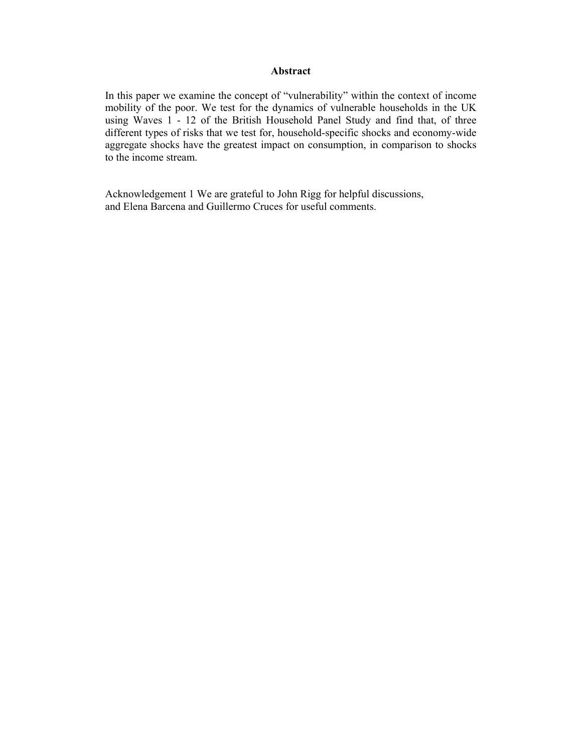#### **Abstract**

In this paper we examine the concept of "vulnerability" within the context of income mobility of the poor. We test for the dynamics of vulnerable households in the UK using Waves 1 - 12 of the British Household Panel Study and find that, of three different types of risks that we test for, household-specific shocks and economy-wide aggregate shocks have the greatest impact on consumption, in comparison to shocks to the income stream.

Acknowledgement 1 We are grateful to John Rigg for helpful discussions, and Elena Barcena and Guillermo Cruces for useful comments.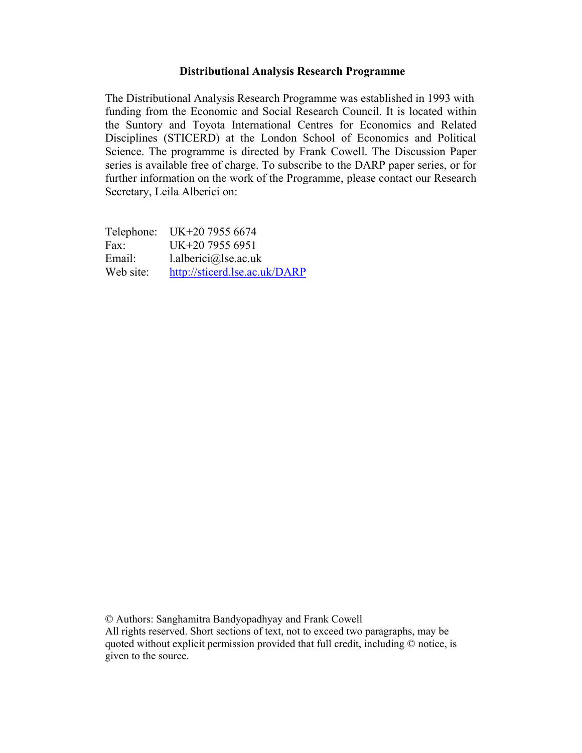#### **Distributional Analysis Research Programme**

The Distributional Analysis Research Programme was established in 1993 with funding from the Economic and Social Research Council. It is located within the Suntory and Toyota International Centres for Economics and Related Disciplines (STICERD) at the London School of Economics and Political Science. The programme is directed by Frank Cowell. The Discussion Paper series is available free of charge. To subscribe to the DARP paper series, or for further information on the work of the Programme, please contact our Research Secretary, Leila Alberici on:

Telephone: UK+20 7955 6674 Fax: UK+20 7955 6951 Email: l.alberici@lse.ac.uk Web site: http://sticerd.lse.ac.uk/DARP

© Authors: Sanghamitra Bandyopadhyay and Frank Cowell

All rights reserved. Short sections of text, not to exceed two paragraphs, may be quoted without explicit permission provided that full credit, including © notice, is given to the source.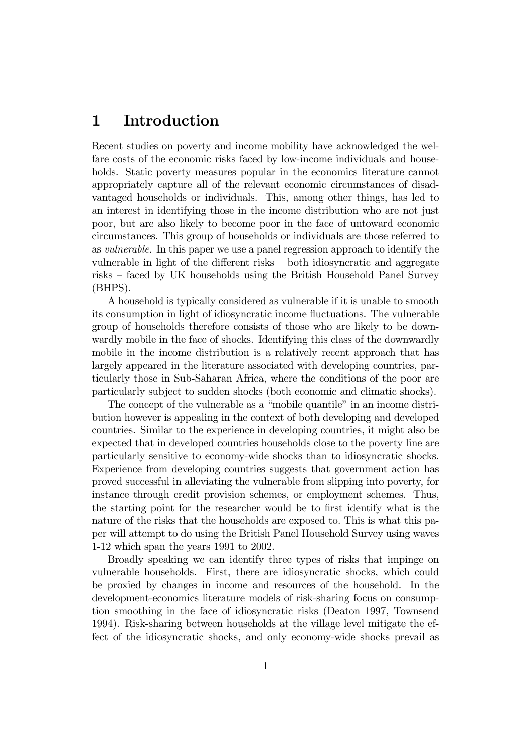## 1 Introduction

Recent studies on poverty and income mobility have acknowledged the welfare costs of the economic risks faced by low-income individuals and households. Static poverty measures popular in the economics literature cannot appropriately capture all of the relevant economic circumstances of disadvantaged households or individuals. This, among other things, has led to an interest in identifying those in the income distribution who are not just poor, but are also likely to become poor in the face of untoward economic circumstances. This group of households or individuals are those referred to as vulnerable. In this paper we use a panel regression approach to identify the vulnerable in light of the different risks  $\sim$  both idiosyncratic and aggregate risks – faced by UK households using the British Household Panel Survey (BHPS).

A household is typically considered as vulnerable if it is unable to smooth its consumption in light of idiosyncratic income fluctuations. The vulnerable group of households therefore consists of those who are likely to be downwardly mobile in the face of shocks. Identifying this class of the downwardly mobile in the income distribution is a relatively recent approach that has largely appeared in the literature associated with developing countries, particularly those in Sub-Saharan Africa, where the conditions of the poor are particularly subject to sudden shocks (both economic and climatic shocks).

The concept of the vulnerable as a "mobile quantile" in an income distribution however is appealing in the context of both developing and developed countries. Similar to the experience in developing countries, it might also be expected that in developed countries households close to the poverty line are particularly sensitive to economy-wide shocks than to idiosyncratic shocks. Experience from developing countries suggests that government action has proved successful in alleviating the vulnerable from slipping into poverty, for instance through credit provision schemes, or employment schemes. Thus, the starting point for the researcher would be to first identify what is the nature of the risks that the households are exposed to. This is what this paper will attempt to do using the British Panel Household Survey using waves 1-12 which span the years 1991 to 2002.

Broadly speaking we can identify three types of risks that impinge on vulnerable households. First, there are idiosyncratic shocks, which could be proxied by changes in income and resources of the household. In the development-economics literature models of risk-sharing focus on consumption smoothing in the face of idiosyncratic risks (Deaton 1997, Townsend 1994). Risk-sharing between households at the village level mitigate the effect of the idiosyncratic shocks, and only economy-wide shocks prevail as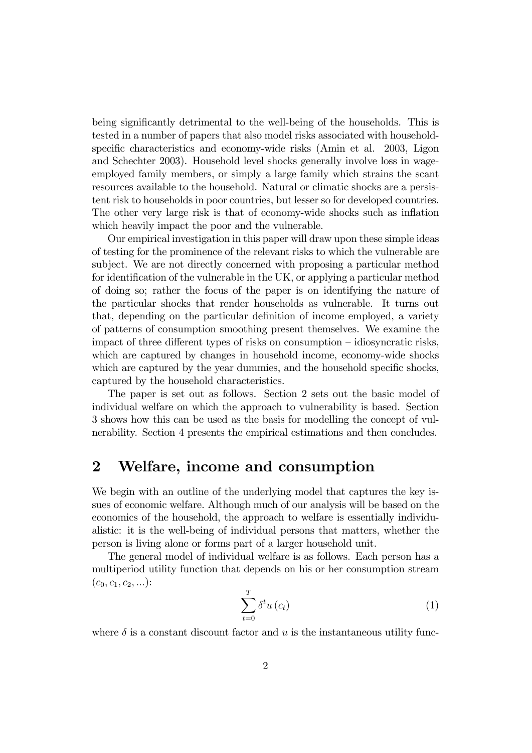being significantly detrimental to the well-being of the households. This is tested in a number of papers that also model risks associated with householdspecific characteristics and economy-wide risks (Amin et al. 2003, Ligon and Schechter 2003). Household level shocks generally involve loss in wageemployed family members, or simply a large family which strains the scant resources available to the household. Natural or climatic shocks are a persistent risk to households in poor countries, but lesser so for developed countries. The other very large risk is that of economy-wide shocks such as ináation which heavily impact the poor and the vulnerable.

Our empirical investigation in this paper will draw upon these simple ideas of testing for the prominence of the relevant risks to which the vulnerable are subject. We are not directly concerned with proposing a particular method for identification of the vulnerable in the UK, or applying a particular method of doing so; rather the focus of the paper is on identifying the nature of the particular shocks that render households as vulnerable. It turns out that, depending on the particular definition of income employed, a variety of patterns of consumption smoothing present themselves. We examine the impact of three different types of risks on consumption  $-$  idiosyncratic risks, which are captured by changes in household income, economy-wide shocks which are captured by the year dummies, and the household specific shocks, captured by the household characteristics.

The paper is set out as follows. Section 2 sets out the basic model of individual welfare on which the approach to vulnerability is based. Section 3 shows how this can be used as the basis for modelling the concept of vulnerability. Section 4 presents the empirical estimations and then concludes.

### 2 Welfare, income and consumption

We begin with an outline of the underlying model that captures the key issues of economic welfare. Although much of our analysis will be based on the economics of the household, the approach to welfare is essentially individualistic: it is the well-being of individual persons that matters, whether the person is living alone or forms part of a larger household unit.

The general model of individual welfare is as follows. Each person has a multiperiod utility function that depends on his or her consumption stream  $(c_0, c_1, c_2, \ldots):$ 

$$
\sum_{t=0}^{T} \delta^t u\left(c_t\right) \tag{1}
$$

where  $\delta$  is a constant discount factor and u is the instantaneous utility func-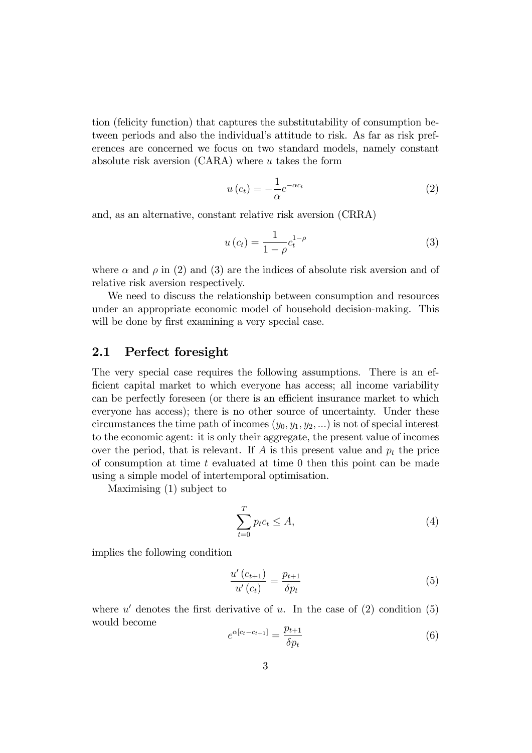tion (felicity function) that captures the substitutability of consumption between periods and also the individual's attitude to risk. As far as risk preferences are concerned we focus on two standard models, namely constant absolute risk aversion  $(CARA)$  where u takes the form

$$
u\left(c_{t}\right) = -\frac{1}{\alpha}e^{-\alpha c_{t}}\tag{2}
$$

and, as an alternative, constant relative risk aversion (CRRA)

$$
u\left(c_{t}\right) = \frac{1}{1 - \rho} c_{t}^{1 - \rho} \tag{3}
$$

where  $\alpha$  and  $\rho$  in (2) and (3) are the indices of absolute risk aversion and of relative risk aversion respectively.

We need to discuss the relationship between consumption and resources under an appropriate economic model of household decision-making. This will be done by first examining a very special case.

#### 2.1 Perfect foresight

The very special case requires the following assumptions. There is an efficient capital market to which everyone has access; all income variability can be perfectly foreseen (or there is an efficient insurance market to which everyone has access); there is no other source of uncertainty. Under these circumstances the time path of incomes  $(y_0, y_1, y_2, ...)$  is not of special interest to the economic agent: it is only their aggregate, the present value of incomes over the period, that is relevant. If A is this present value and  $p_t$  the price of consumption at time  $t$  evaluated at time 0 then this point can be made using a simple model of intertemporal optimisation.

Maximising (1) subject to

$$
\sum_{t=0}^{T} p_t c_t \le A,\tag{4}
$$

implies the following condition

$$
\frac{u'(c_{t+1})}{u'(c_t)} = \frac{p_{t+1}}{\delta p_t} \tag{5}
$$

where  $u'$  denotes the first derivative of u. In the case of  $(2)$  condition  $(5)$ would become

$$
e^{\alpha[c_t - c_{t+1}]} = \frac{p_{t+1}}{\delta p_t} \tag{6}
$$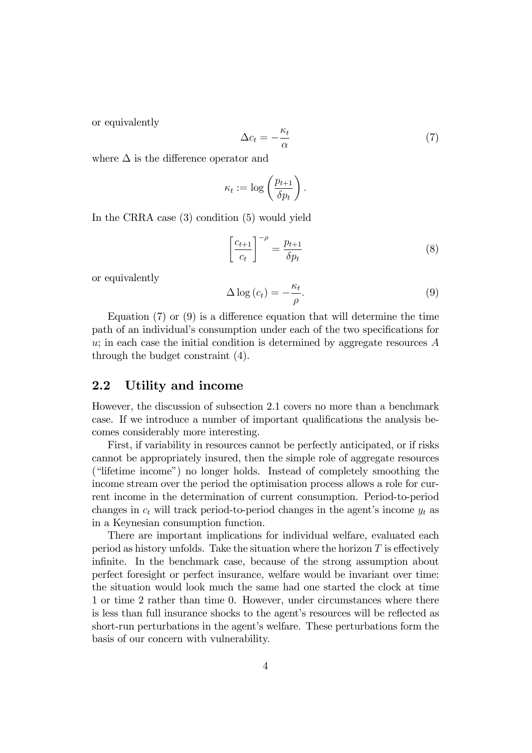or equivalently

$$
\Delta c_t = -\frac{\kappa_t}{\alpha} \tag{7}
$$

where  $\Delta$  is the difference operator and

$$
\kappa_t := \log\left(\frac{p_{t+1}}{\delta p_t}\right).
$$

In the CRRA case (3) condition (5) would yield

$$
\left[\frac{c_{t+1}}{c_t}\right]^{-\rho} = \frac{p_{t+1}}{\delta p_t} \tag{8}
$$

or equivalently

$$
\Delta \log \left( c_t \right) = -\frac{\kappa_t}{\rho}.\tag{9}
$$

Equation  $(7)$  or  $(9)$  is a difference equation that will determine the time path of an individual's consumption under each of the two specifications for u; in each case the initial condition is determined by aggregate resources A through the budget constraint (4).

#### 2.2 Utility and income

However, the discussion of subsection 2.1 covers no more than a benchmark case. If we introduce a number of important qualifications the analysis becomes considerably more interesting.

First, if variability in resources cannot be perfectly anticipated, or if risks cannot be appropriately insured, then the simple role of aggregate resources ("lifetime income") no longer holds. Instead of completely smoothing the income stream over the period the optimisation process allows a role for current income in the determination of current consumption. Period-to-period changes in  $c_t$  will track period-to-period changes in the agent's income  $y_t$  as in a Keynesian consumption function.

There are important implications for individual welfare, evaluated each period as history unfolds. Take the situation where the horizon  $T$  is effectively infinite. In the benchmark case, because of the strong assumption about perfect foresight or perfect insurance, welfare would be invariant over time: the situation would look much the same had one started the clock at time 1 or time 2 rather than time 0. However, under circumstances where there is less than full insurance shocks to the agent's resources will be reflected as short-run perturbations in the agent's welfare. These perturbations form the basis of our concern with vulnerability.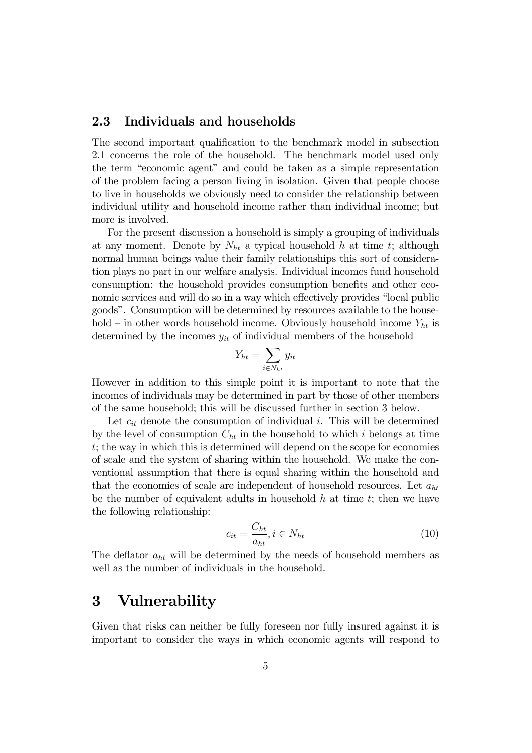#### 2.3 Individuals and households

The second important qualification to the benchmark model in subsection 2.1 concerns the role of the household. The benchmark model used only the term "economic agent" and could be taken as a simple representation of the problem facing a person living in isolation. Given that people choose to live in households we obviously need to consider the relationship between individual utility and household income rather than individual income; but more is involved.

For the present discussion a household is simply a grouping of individuals at any moment. Denote by  $N_{ht}$  a typical household h at time t; although normal human beings value their family relationships this sort of consideration plays no part in our welfare analysis. Individual incomes fund household consumption: the household provides consumption benefits and other economic services and will do so in a way which effectively provides "local public goodsî. Consumption will be determined by resources available to the household – in other words household income. Obviously household income  $Y_{ht}$  is determined by the incomes  $y_{it}$  of individual members of the household

$$
Y_{ht} = \sum_{i \in N_{ht}} y_{it}
$$

However in addition to this simple point it is important to note that the incomes of individuals may be determined in part by those of other members of the same household; this will be discussed further in section 3 below.

Let  $c_{it}$  denote the consumption of individual i. This will be determined by the level of consumption  $C_{ht}$  in the household to which i belongs at time t; the way in which this is determined will depend on the scope for economies of scale and the system of sharing within the household. We make the conventional assumption that there is equal sharing within the household and that the economies of scale are independent of household resources. Let  $a_{ht}$ be the number of equivalent adults in household  $h$  at time  $t$ ; then we have the following relationship:

$$
c_{it} = \frac{C_{ht}}{a_{ht}}, i \in N_{ht}
$$
\n
$$
(10)
$$

The deflator  $a_{ht}$  will be determined by the needs of household members as well as the number of individuals in the household.

### 3 Vulnerability

Given that risks can neither be fully foreseen nor fully insured against it is important to consider the ways in which economic agents will respond to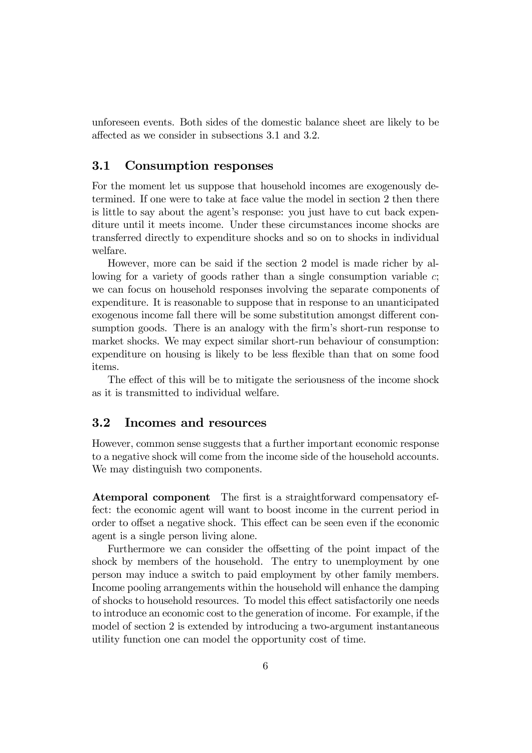unforeseen events. Both sides of the domestic balance sheet are likely to be affected as we consider in subsections 3.1 and 3.2.

#### 3.1 Consumption responses

For the moment let us suppose that household incomes are exogenously determined. If one were to take at face value the model in section 2 then there is little to say about the agent's response: you just have to cut back expenditure until it meets income. Under these circumstances income shocks are transferred directly to expenditure shocks and so on to shocks in individual welfare.

However, more can be said if the section 2 model is made richer by allowing for a variety of goods rather than a single consumption variable  $c$ ; we can focus on household responses involving the separate components of expenditure. It is reasonable to suppose that in response to an unanticipated exogenous income fall there will be some substitution amongst different consumption goods. There is an analogy with the firm's short-run response to market shocks. We may expect similar short-run behaviour of consumption: expenditure on housing is likely to be less flexible than that on some food items.

The effect of this will be to mitigate the seriousness of the income shock as it is transmitted to individual welfare.

#### 3.2 Incomes and resources

However, common sense suggests that a further important economic response to a negative shock will come from the income side of the household accounts. We may distinguish two components.

Atemporal component The first is a straightforward compensatory effect: the economic agent will want to boost income in the current period in order to offset a negative shock. This effect can be seen even if the economic agent is a single person living alone.

Furthermore we can consider the offsetting of the point impact of the shock by members of the household. The entry to unemployment by one person may induce a switch to paid employment by other family members. Income pooling arrangements within the household will enhance the damping of shocks to household resources. To model this effect satisfactorily one needs to introduce an economic cost to the generation of income. For example, if the model of section 2 is extended by introducing a two-argument instantaneous utility function one can model the opportunity cost of time.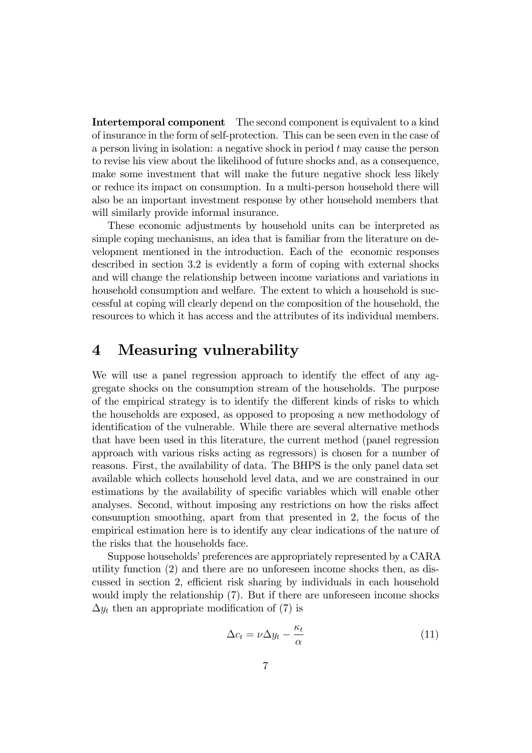Intertemporal component The second component is equivalent to a kind of insurance in the form of self-protection. This can be seen even in the case of a person living in isolation: a negative shock in period  $t$  may cause the person to revise his view about the likelihood of future shocks and, as a consequence, make some investment that will make the future negative shock less likely or reduce its impact on consumption. In a multi-person household there will also be an important investment response by other household members that will similarly provide informal insurance.

These economic adjustments by household units can be interpreted as simple coping mechanisms, an idea that is familiar from the literature on development mentioned in the introduction. Each of the economic responses described in section 3.2 is evidently a form of coping with external shocks and will change the relationship between income variations and variations in household consumption and welfare. The extent to which a household is successful at coping will clearly depend on the composition of the household, the resources to which it has access and the attributes of its individual members.

## 4 Measuring vulnerability

We will use a panel regression approach to identify the effect of any aggregate shocks on the consumption stream of the households. The purpose of the empirical strategy is to identify the different kinds of risks to which the households are exposed, as opposed to proposing a new methodology of identification of the vulnerable. While there are several alternative methods that have been used in this literature, the current method (panel regression approach with various risks acting as regressors) is chosen for a number of reasons. First, the availability of data. The BHPS is the only panel data set available which collects household level data, and we are constrained in our estimations by the availability of specific variables which will enable other analyses. Second, without imposing any restrictions on how the risks affect consumption smoothing, apart from that presented in 2, the focus of the empirical estimation here is to identify any clear indications of the nature of the risks that the households face.

Suppose households' preferences are appropriately represented by a CARA utility function (2) and there are no unforeseen income shocks then, as discussed in section 2, efficient risk sharing by individuals in each household would imply the relationship (7). But if there are unforeseen income shocks  $\Delta y_t$  then an appropriate modification of (7) is

$$
\Delta c_t = \nu \Delta y_t - \frac{\kappa_t}{\alpha} \tag{11}
$$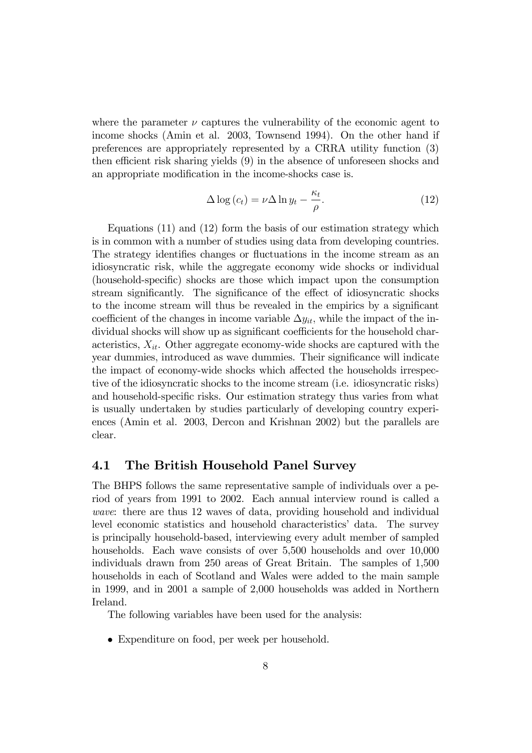where the parameter  $\nu$  captures the vulnerability of the economic agent to income shocks (Amin et al. 2003, Townsend 1994). On the other hand if preferences are appropriately represented by a CRRA utility function (3) then efficient risk sharing yields  $(9)$  in the absence of unforeseen shocks and an appropriate modification in the income-shocks case is.

$$
\Delta \log \left( c_t \right) = \nu \Delta \ln y_t - \frac{\kappa_t}{\rho}.\tag{12}
$$

Equations (11) and (12) form the basis of our estimation strategy which is in common with a number of studies using data from developing countries. The strategy identifies changes or fluctuations in the income stream as an idiosyncratic risk, while the aggregate economy wide shocks or individual (household-specific) shocks are those which impact upon the consumption stream significantly. The significance of the effect of idiosyncratic shocks to the income stream will thus be revealed in the empirics by a significant coefficient of the changes in income variable  $\Delta y_{it}$ , while the impact of the individual shocks will show up as significant coefficients for the household characteristics,  $X_{it}$ . Other aggregate economy-wide shocks are captured with the year dummies, introduced as wave dummies. Their significance will indicate the impact of economy-wide shocks which affected the households irrespective of the idiosyncratic shocks to the income stream (i.e. idiosyncratic risks) and household-specific risks. Our estimation strategy thus varies from what is usually undertaken by studies particularly of developing country experiences (Amin et al. 2003, Dercon and Krishnan 2002) but the parallels are clear.

#### 4.1 The British Household Panel Survey

The BHPS follows the same representative sample of individuals over a period of years from 1991 to 2002. Each annual interview round is called a wave: there are thus 12 waves of data, providing household and individual level economic statistics and household characteristics' data. The survey is principally household-based, interviewing every adult member of sampled households. Each wave consists of over 5,500 households and over 10,000 individuals drawn from 250 areas of Great Britain. The samples of 1,500 households in each of Scotland and Wales were added to the main sample in 1999, and in 2001 a sample of 2,000 households was added in Northern Ireland.

The following variables have been used for the analysis:

Expenditure on food, per week per household.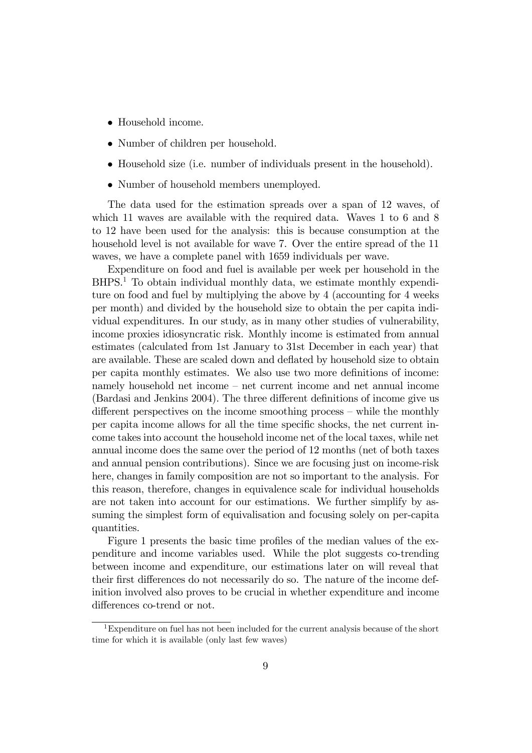- Household income.
- Number of children per household.
- Household size (i.e. number of individuals present in the household).
- Number of household members unemployed.

The data used for the estimation spreads over a span of 12 waves, of which 11 waves are available with the required data. Waves 1 to 6 and 8 to 12 have been used for the analysis: this is because consumption at the household level is not available for wave 7. Over the entire spread of the 11 waves, we have a complete panel with 1659 individuals per wave.

Expenditure on food and fuel is available per week per household in the BHPS<sup>1</sup> To obtain individual monthly data, we estimate monthly expenditure on food and fuel by multiplying the above by 4 (accounting for 4 weeks per month) and divided by the household size to obtain the per capita individual expenditures. In our study, as in many other studies of vulnerability, income proxies idiosyncratic risk. Monthly income is estimated from annual estimates (calculated from 1st January to 31st December in each year) that are available. These are scaled down and deáated by household size to obtain per capita monthly estimates. We also use two more definitions of income: namely household net income – net current income and net annual income (Bardasi and Jenkins 2004). The three different definitions of income give us different perspectives on the income smoothing process  $\overline{\phantom{a}}$  while the monthly per capita income allows for all the time specific shocks, the net current income takes into account the household income net of the local taxes, while net annual income does the same over the period of 12 months (net of both taxes and annual pension contributions). Since we are focusing just on income-risk here, changes in family composition are not so important to the analysis. For this reason, therefore, changes in equivalence scale for individual households are not taken into account for our estimations. We further simplify by assuming the simplest form of equivalisation and focusing solely on per-capita quantities.

Figure 1 presents the basic time profiles of the median values of the expenditure and income variables used. While the plot suggests co-trending between income and expenditure, our estimations later on will reveal that their first differences do not necessarily do so. The nature of the income definition involved also proves to be crucial in whether expenditure and income differences co-trend or not.

<sup>&</sup>lt;sup>1</sup>Expenditure on fuel has not been included for the current analysis because of the short time for which it is available (only last few waves)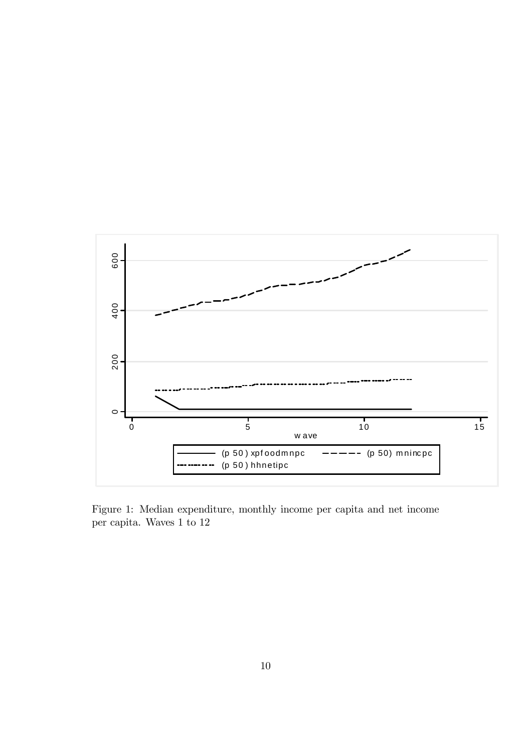

Figure 1: Median expenditure, monthly income per capita and net income per capita. Waves 1 to 12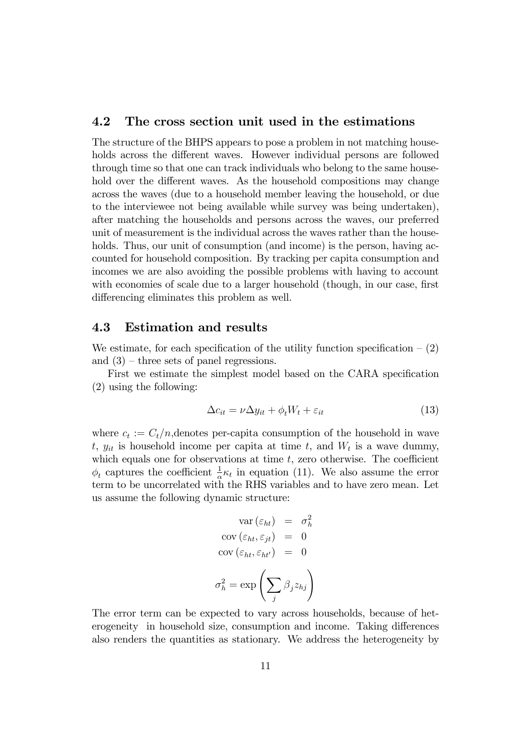#### 4.2 The cross section unit used in the estimations

The structure of the BHPS appears to pose a problem in not matching households across the different waves. However individual persons are followed through time so that one can track individuals who belong to the same household over the different waves. As the household compositions may change across the waves (due to a household member leaving the household, or due to the interviewee not being available while survey was being undertaken), after matching the households and persons across the waves, our preferred unit of measurement is the individual across the waves rather than the households. Thus, our unit of consumption (and income) is the person, having accounted for household composition. By tracking per capita consumption and incomes we are also avoiding the possible problems with having to account with economies of scale due to a larger household (though, in our case, first differencing eliminates this problem as well.

#### 4.3 Estimation and results

We estimate, for each specification of the utility function specification  $-$  (2) and  $(3)$  – three sets of panel regressions.

First we estimate the simplest model based on the CARA specification (2) using the following:

$$
\Delta c_{it} = \nu \Delta y_{it} + \phi_t W_t + \varepsilon_{it} \tag{13}
$$

where  $c_t := C_t/n$ , denotes per-capita consumption of the household in wave t,  $y_{it}$  is household income per capita at time t, and  $W_t$  is a wave dummy, which equals one for observations at time  $t$ , zero otherwise. The coefficient  $\phi_t$  captures the coefficient  $\frac{1}{\alpha} \kappa_t$  in equation (11). We also assume the error term to be uncorrelated with the RHS variables and to have zero mean. Let us assume the following dynamic structure:

$$
\begin{aligned}\n\text{var}(\varepsilon_{ht}) &= \sigma_h^2 \\
\text{cov}(\varepsilon_{ht}, \varepsilon_{jt}) &= 0 \\
\text{cov}(\varepsilon_{ht}, \varepsilon_{ht'}) &= 0 \\
\sigma_h^2 &= \exp\left(\sum_j \beta_j z_{hj}\right)\n\end{aligned}
$$

The error term can be expected to vary across households, because of heterogeneity in household size, consumption and income. Taking differences also renders the quantities as stationary. We address the heterogeneity by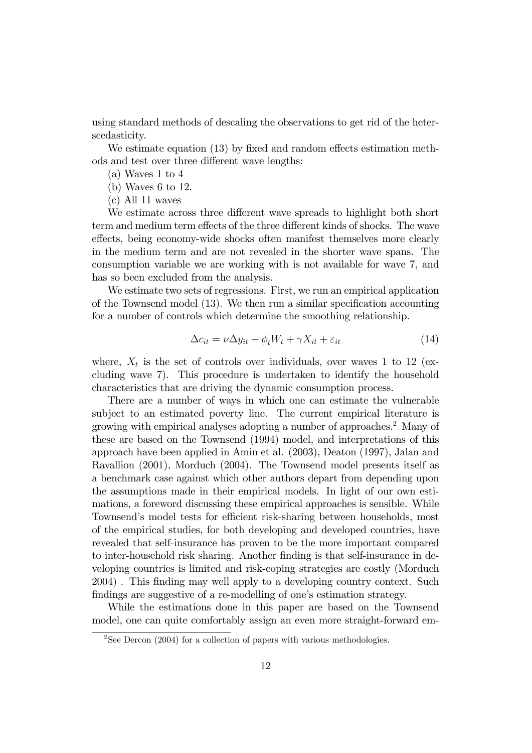using standard methods of descaling the observations to get rid of the heterscedasticity.

We estimate equation  $(13)$  by fixed and random effects estimation methods and test over three different wave lengths:

- (a) Waves 1 to 4
- (b) Waves 6 to 12.
- (c) All 11 waves

We estimate across three different wave spreads to highlight both short term and medium term effects of the three different kinds of shocks. The wave effects, being economy-wide shocks often manifest themselves more clearly in the medium term and are not revealed in the shorter wave spans. The consumption variable we are working with is not available for wave 7, and has so been excluded from the analysis.

We estimate two sets of regressions. First, we run an empirical application of the Townsend model  $(13)$ . We then run a similar specification accounting for a number of controls which determine the smoothing relationship.

$$
\Delta c_{it} = \nu \Delta y_{it} + \phi_t W_t + \gamma X_{it} + \varepsilon_{it} \tag{14}
$$

where,  $X_t$  is the set of controls over individuals, over waves 1 to 12 (excluding wave 7). This procedure is undertaken to identify the household characteristics that are driving the dynamic consumption process.

There are a number of ways in which one can estimate the vulnerable subject to an estimated poverty line. The current empirical literature is growing with empirical analyses adopting a number of approaches.<sup>2</sup> Many of these are based on the Townsend (1994) model, and interpretations of this approach have been applied in Amin et al. (2003), Deaton (1997), Jalan and Ravallion (2001), Morduch (2004). The Townsend model presents itself as a benchmark case against which other authors depart from depending upon the assumptions made in their empirical models. In light of our own estimations, a foreword discussing these empirical approaches is sensible. While Townsend's model tests for efficient risk-sharing between households, most of the empirical studies, for both developing and developed countries, have revealed that self-insurance has proven to be the more important compared to inter-household risk sharing. Another finding is that self-insurance in developing countries is limited and risk-coping strategies are costly (Morduch 2004). This finding may well apply to a developing country context. Such findings are suggestive of a re-modelling of one's estimation strategy.

While the estimations done in this paper are based on the Townsend model, one can quite comfortably assign an even more straight-forward em-

<sup>&</sup>lt;sup>2</sup>See Dercon (2004) for a collection of papers with various methodologies.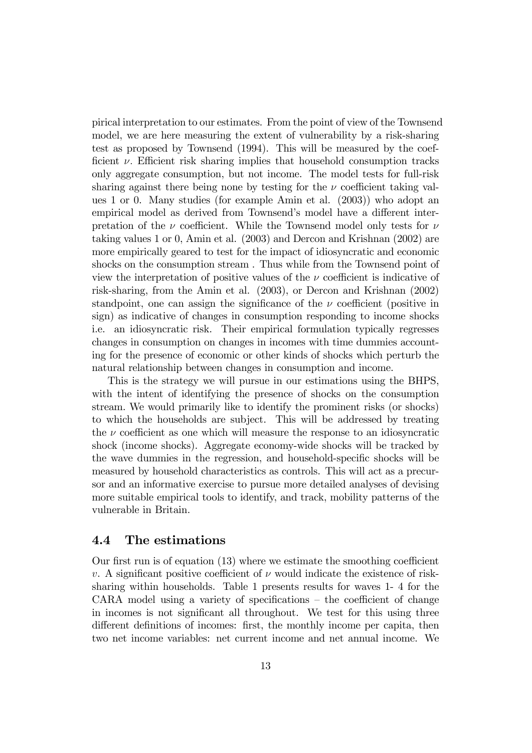pirical interpretation to our estimates. From the point of view of the Townsend model, we are here measuring the extent of vulnerability by a risk-sharing test as proposed by Townsend (1994). This will be measured by the coefficient  $\nu$ . Efficient risk sharing implies that household consumption tracks only aggregate consumption, but not income. The model tests for full-risk sharing against there being none by testing for the  $\nu$  coefficient taking values 1 or 0. Many studies (for example Amin et al. (2003)) who adopt an empirical model as derived from Townsend's model have a different interpretation of the  $\nu$  coefficient. While the Townsend model only tests for  $\nu$ taking values 1 or 0, Amin et al. (2003) and Dercon and Krishnan (2002) are more empirically geared to test for the impact of idiosyncratic and economic shocks on the consumption stream . Thus while from the Townsend point of view the interpretation of positive values of the  $\nu$  coefficient is indicative of risk-sharing, from the Amin et al. (2003), or Dercon and Krishnan (2002) standpoint, one can assign the significance of the  $\nu$  coefficient (positive in sign) as indicative of changes in consumption responding to income shocks i.e. an idiosyncratic risk. Their empirical formulation typically regresses changes in consumption on changes in incomes with time dummies accounting for the presence of economic or other kinds of shocks which perturb the natural relationship between changes in consumption and income.

This is the strategy we will pursue in our estimations using the BHPS, with the intent of identifying the presence of shocks on the consumption stream. We would primarily like to identify the prominent risks (or shocks) to which the households are subject. This will be addressed by treating the  $\nu$  coefficient as one which will measure the response to an idiosyncratic shock (income shocks). Aggregate economy-wide shocks will be tracked by the wave dummies in the regression, and household-specific shocks will be measured by household characteristics as controls. This will act as a precursor and an informative exercise to pursue more detailed analyses of devising more suitable empirical tools to identify, and track, mobility patterns of the vulnerable in Britain.

#### 4.4 The estimations

Our first run is of equation  $(13)$  where we estimate the smoothing coefficient v. A significant positive coefficient of  $\nu$  would indicate the existence of risksharing within households. Table 1 presents results for waves 1- 4 for the CARA model using a variety of specifications  $-$  the coefficient of change in incomes is not significant all throughout. We test for this using three different definitions of incomes: first, the monthly income per capita, then two net income variables: net current income and net annual income. We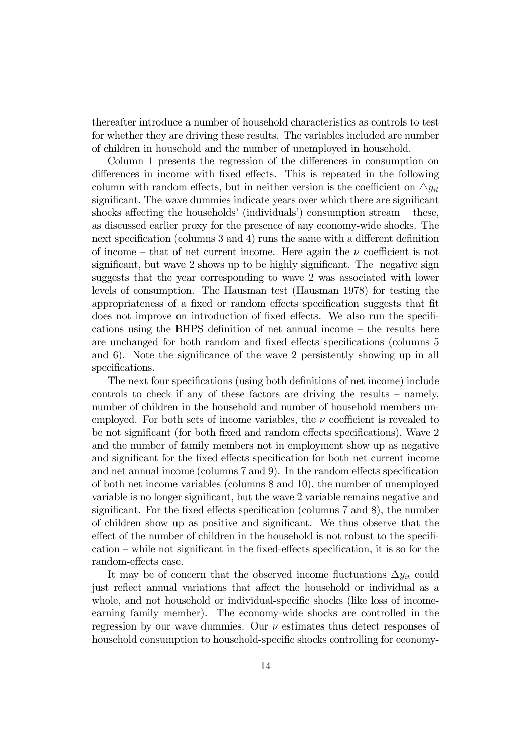thereafter introduce a number of household characteristics as controls to test for whether they are driving these results. The variables included are number of children in household and the number of unemployed in household.

Column 1 presents the regression of the differences in consumption on differences in income with fixed effects. This is repeated in the following column with random effects, but in neither version is the coefficient on  $\Delta y_{it}$ significant. The wave dummies indicate years over which there are significant shocks affecting the households' (individuals') consumption stream  $-$  these, as discussed earlier proxy for the presence of any economy-wide shocks. The next specification (columns 3 and 4) runs the same with a different definition of income – that of net current income. Here again the  $\nu$  coefficient is not significant, but wave 2 shows up to be highly significant. The negative sign suggests that the year corresponding to wave 2 was associated with lower levels of consumption. The Hausman test (Hausman 1978) for testing the appropriateness of a fixed or random effects specification suggests that fit does not improve on introduction of fixed effects. We also run the specifications using the BHPS definition of net annual income  $-$  the results here are unchanged for both random and fixed effects specifications (columns 5 and 6). Note the significance of the wave 2 persistently showing up in all specifications.

The next four specifications (using both definitions of net income) include controls to check if any of these factors are driving the results  $-$  namely, number of children in the household and number of household members unemployed. For both sets of income variables, the  $\nu$  coefficient is revealed to be not significant (for both fixed and random effects specifications). Wave 2 and the number of family members not in employment show up as negative and significant for the fixed effects specification for both net current income and net annual income (columns  $7$  and  $9$ ). In the random effects specification of both net income variables (columns 8 and 10), the number of unemployed variable is no longer significant, but the wave 2 variable remains negative and significant. For the fixed effects specification (columns  $7$  and  $8$ ), the number of children show up as positive and significant. We thus observe that the effect of the number of children in the household is not robust to the specifi $cation - while not significant in the fixed-effects specification, it is so for the$ random-effects case.

It may be of concern that the observed income fluctuations  $\Delta y_{it}$  could just reflect annual variations that affect the household or individual as a whole, and not household or individual-specific shocks (like loss of incomeearning family member). The economy-wide shocks are controlled in the regression by our wave dummies. Our  $\nu$  estimates thus detect responses of household consumption to household-specific shocks controlling for economy-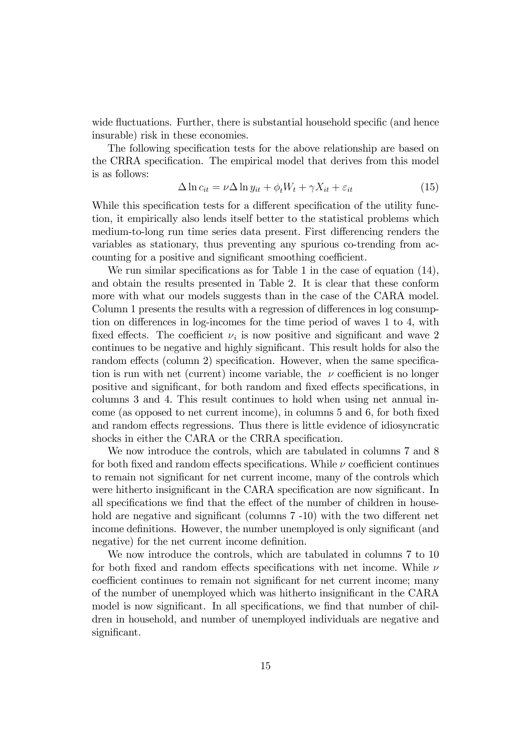wide fluctuations. Further, there is substantial household specific (and hence insurable) risk in these economies.

The following specification tests for the above relationship are based on the CRRA specification. The empirical model that derives from this model is as follows:

$$
\Delta \ln c_{it} = \nu \Delta \ln y_{it} + \phi_t W_t + \gamma X_{it} + \varepsilon_{it}
$$
\n(15)

While this specification tests for a different specification of the utility function, it empirically also lends itself better to the statistical problems which medium-to-long run time series data present. First differencing renders the variables as stationary, thus preventing any spurious co-trending from accounting for a positive and significant smoothing coefficient.

We run similar specifications as for Table 1 in the case of equation  $(14)$ , and obtain the results presented in Table 2. It is clear that these conform more with what our models suggests than in the case of the CARA model. Column 1 presents the results with a regression of differences in log consumption on differences in log-incomes for the time period of waves 1 to 4, with fixed effects. The coefficient  $\nu_i$  is now positive and significant and wave 2 continues to be negative and highly significant. This result holds for also the random effects (column 2) specification. However, when the same specification is run with net (current) income variable, the  $\nu$  coefficient is no longer positive and significant, for both random and fixed effects specifications, in columns 3 and 4. This result continues to hold when using net annual income (as opposed to net current income), in columns 5 and 6, for both fixed and random effects regressions. Thus there is little evidence of idiosyncratic shocks in either the CARA or the CRRA specification.

We now introduce the controls, which are tabulated in columns 7 and 8 for both fixed and random effects specifications. While  $\nu$  coefficient continues to remain not significant for net current income, many of the controls which were hitherto insignificant in the CARA specification are now significant. In all specifications we find that the effect of the number of children in household are negative and significant (columns  $7-10$ ) with the two different net income definitions. However, the number unemployed is only significant (and negative) for the net current income definition.

We now introduce the controls, which are tabulated in columns 7 to 10 for both fixed and random effects specifications with net income. While  $\nu$ coefficient continues to remain not significant for net current income; many of the number of unemployed which was hitherto insignificant in the CARA model is now significant. In all specifications, we find that number of children in household, and number of unemployed individuals are negative and significant.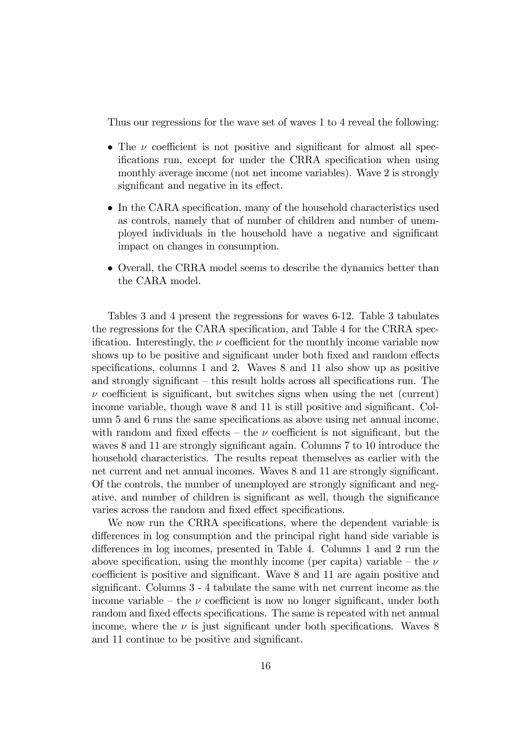Thus our regressions for the wave set of waves 1 to 4 reveal the following:

- The  $\nu$  coefficient is not positive and significant for almost all specifications run, except for under the CRRA specification when using monthly average income (not net income variables). Wave 2 is strongly significant and negative in its effect.
- In the CARA specification, many of the household characteristics used as controls, namely that of number of children and number of unemployed individuals in the household have a negative and significant impact on changes in consumption.
- Overall, the CRRA model seems to describe the dynamics better than the CARA model.

Tables 3 and 4 present the regressions for waves 6-12. Table 3 tabulates the regressions for the CARA specification, and Table 4 for the CRRA specification. Interestingly, the  $\nu$  coefficient for the monthly income variable now shows up to be positive and significant under both fixed and random effects specifications, columns 1 and 2. Waves 8 and 11 also show up as positive and strongly significant  $-$  this result holds across all specifications run. The  $\nu$  coefficient is significant, but switches signs when using the net (current) income variable, though wave  $8$  and  $11$  is still positive and significant. Column 5 and 6 runs the same specifications as above using net annual income, with random and fixed effects – the  $\nu$  coefficient is not significant, but the waves  $8$  and  $11$  are strongly significant again. Columns  $7$  to  $10$  introduce the household characteristics. The results repeat themselves as earlier with the net current and net annual incomes. Waves 8 and 11 are strongly significant. Of the controls, the number of unemployed are strongly significant and negative, and number of children is significant as well, though the significance varies across the random and fixed effect specifications.

We now run the CRRA specifications, where the dependent variable is differences in log consumption and the principal right hand side variable is differences in log incomes, presented in Table 4. Columns 1 and 2 run the above specification, using the monthly income (per capita) variable – the  $\nu$ coefficient is positive and significant. Wave 8 and 11 are again positive and significant. Columns  $3 - 4$  tabulate the same with net current income as the income variable  $-\text{ the }\nu$  coefficient is now no longer significant, under both random and fixed effects specifications. The same is repeated with net annual income, where the  $\nu$  is just significant under both specifications. Waves 8 and 11 continue to be positive and significant.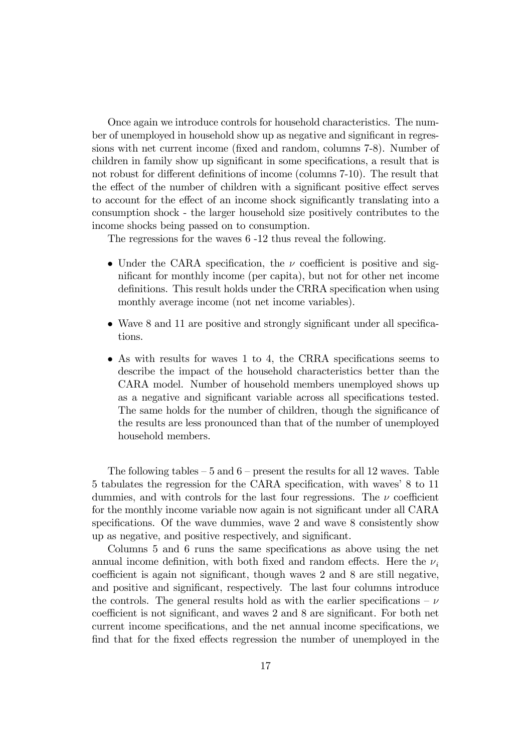Once again we introduce controls for household characteristics. The number of unemployed in household show up as negative and significant in regressions with net current income (fixed and random, columns 7-8). Number of children in family show up significant in some specifications, a result that is not robust for different definitions of income (columns 7-10). The result that the effect of the number of children with a significant positive effect serves to account for the effect of an income shock significantly translating into a consumption shock - the larger household size positively contributes to the income shocks being passed on to consumption.

The regressions for the waves 6 -12 thus reveal the following.

- Under the CARA specification, the  $\nu$  coefficient is positive and significant for monthly income (per capita), but not for other net income definitions. This result holds under the CRRA specification when using monthly average income (not net income variables).
- Wave 8 and 11 are positive and strongly significant under all specifications.
- $\bullet$  As with results for waves 1 to 4, the CRRA specifications seems to describe the impact of the household characteristics better than the CARA model. Number of household members unemployed shows up as a negative and significant variable across all specifications tested. The same holds for the number of children, though the significance of the results are less pronounced than that of the number of unemployed household members.

The following tables  $-5$  and  $6$  – present the results for all 12 waves. Table 5 tabulates the regression for the CARA specification, with waves<sup>3</sup> 8 to 11 dummies, and with controls for the last four regressions. The  $\nu$  coefficient for the monthly income variable now again is not significant under all CARA specifications. Of the wave dummies, wave 2 and wave 8 consistently show up as negative, and positive respectively, and significant.

Columns 5 and 6 runs the same specifications as above using the net annual income definition, with both fixed and random effects. Here the  $\nu_i$ coefficient is again not significant, though waves 2 and 8 are still negative, and positive and significant, respectively. The last four columns introduce the controls. The general results hold as with the earlier specifications –  $\nu$ coefficient is not significant, and waves 2 and 8 are significant. For both net current income specifications, and the net annual income specifications, we find that for the fixed effects regression the number of unemployed in the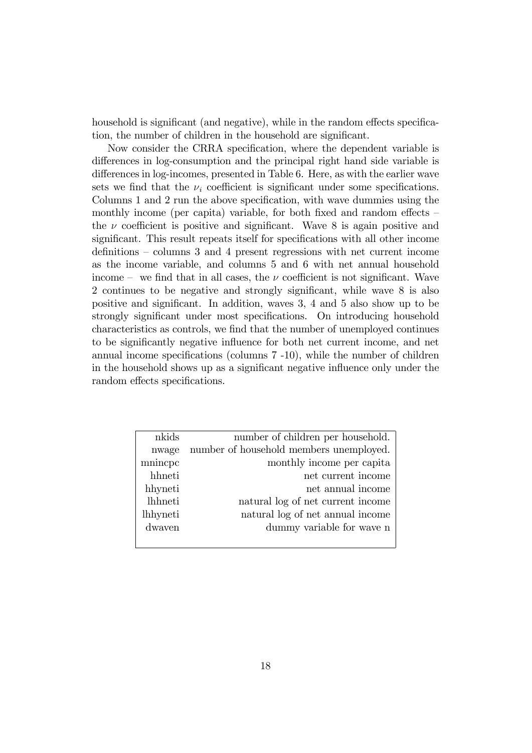household is significant (and negative), while in the random effects specification, the number of children in the household are significant.

Now consider the CRRA specification, where the dependent variable is differences in log-consumption and the principal right hand side variable is differences in log-incomes, presented in Table 6. Here, as with the earlier wave sets we find that the  $\nu_i$  coefficient is significant under some specifications. Columns 1 and 2 run the above specification, with wave dummies using the monthly income (per capita) variable, for both fixed and random effects  $$ the  $\nu$  coefficient is positive and significant. Wave 8 is again positive and significant. This result repeats itself for specifications with all other income definitions  $\sim$  columns 3 and 4 present regressions with net current income as the income variable, and columns 5 and 6 with net annual household income – we find that in all cases, the  $\nu$  coefficient is not significant. Wave 2 continues to be negative and strongly significant, while wave 8 is also positive and significant. In addition, waves 3, 4 and 5 also show up to be strongly significant under most specifications. On introducing household characteristics as controls, we Önd that the number of unemployed continues to be significantly negative influence for both net current income, and net annual income specifications (columns  $7 - 10$ ), while the number of children in the household shows up as a significant negative influence only under the random effects specifications.

| nkids          | number of children per household.       |
|----------------|-----------------------------------------|
| nwage          | number of household members unemployed. |
| mnincpc        | monthly income per capita               |
| hhneti         | net current income                      |
| hhyneti        | net annual income                       |
| <i>lhhneti</i> | natural log of net current income       |
| lhhyneti       | natural log of net annual income        |
| dwaven         | dummy variable for wave n               |
|                |                                         |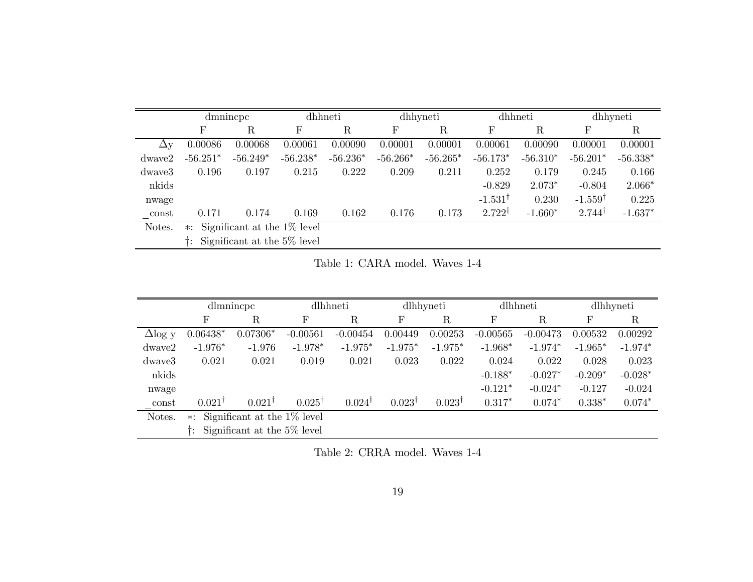|              | dmnincpc                              |            | dhhneti    |            | dhhyneti   |            | dhhneti                   |             | dhhyneti           |            |  |
|--------------|---------------------------------------|------------|------------|------------|------------|------------|---------------------------|-------------|--------------------|------------|--|
|              | $\mathbf F$                           | $\rm R$    | F          | $_{\rm R}$ | F          | R          | $\boldsymbol{\mathrm{F}}$ | $\mathbf R$ | F                  | R          |  |
| $\Delta$ y   | 0.00086                               | 0.00068    | 0.00061    | 0.00090    | 0.00001    | 0.00001    | 0.00061                   | 0.00090     | 0.00001            | 0.00001    |  |
| $d$ wave $2$ | $-56.251*$                            | $-56.249*$ | $-56.238*$ | $-56.236*$ | $-56.266*$ | $-56.265*$ | $-56.173*$                | $-56.310*$  | $-56.201*$         | $-56.338*$ |  |
| $d$ wave $3$ | 0.196                                 | 0.197      | 0.215      | 0.222      | 0.209      | 0.211      | 0.252                     | 0.179       | 0.245              | 0.166      |  |
| nkids        |                                       |            |            |            |            |            | $-0.829$                  | $2.073*$    | $-0.804$           | $2.066*$   |  |
| nwage        |                                       |            |            |            |            |            | $-1.531^{\dagger}$        | 0.230       | $-1.559^{\dagger}$ | 0.225      |  |
| const        | 0.171                                 | 0.174      | 0.169      | 0.162      | 0.176      | 0.173      | $2.722^{\dagger}$         | $-1.660*$   | $2.744^{\dagger}$  | $-1.637*$  |  |
| Notes.       | $\ast$ : Significant at the 1\% level |            |            |            |            |            |                           |             |                    |            |  |
|              | Significant at the $5\%$ level        |            |            |            |            |            |                           |             |                    |            |  |

Table 1: CARA model. Waves 1-4

|                | dlmnincpc                             |                   | dlhhneti          |                   | dlhhyneti         |                   | dlhhneti   |             | dlhhyneti |           |  |
|----------------|---------------------------------------|-------------------|-------------------|-------------------|-------------------|-------------------|------------|-------------|-----------|-----------|--|
|                | F                                     | R                 | F                 | $\mathbf R$       | F                 | $\mathbf R$       | F          | $\mathbf R$ | F         | $\rm R$   |  |
| $\Delta$ log y | $0.06438*$                            | $0.07306*$        | $-0.00561$        | $-0.00454$        | 0.00449           | 0.00253           | $-0.00565$ | $-0.00473$  | 0.00532   | 0.00292   |  |
| $d$ wave $2$   | $-1.976*$                             | $-1.976$          | $-1.978*$         | $-1.975*$         | $-1.975*$         | $-1.975*$         | $-1.968*$  | $-1.974*$   | $-1.965*$ | $-1.974*$ |  |
| $d$ wave $3$   | 0.021                                 | 0.021             | 0.019             | 0.021             | 0.023             | 0.022             | 0.024      | 0.022       | 0.028     | 0.023     |  |
| nkids          |                                       |                   |                   |                   |                   |                   | $-0.188*$  | $-0.027*$   | $-0.209*$ | $-0.028*$ |  |
| nwage          |                                       |                   |                   |                   |                   |                   | $-0.121*$  | $-0.024*$   | $-0.127$  | $-0.024$  |  |
| const          | $0.021^{\dagger}$                     | $0.021^{\dagger}$ | $0.025^{\dagger}$ | $0.024^{\dagger}$ | $0.023^{\dagger}$ | $0.023^{\dagger}$ | $0.317*$   | $0.074*$    | $0.338*$  | $0.074*$  |  |
| Notes.         | $\ast$ : Significant at the 1\% level |                   |                   |                   |                   |                   |            |             |           |           |  |
|                | Significant at the 5% level           |                   |                   |                   |                   |                   |            |             |           |           |  |

Table 2: CRRA model. Waves 1-4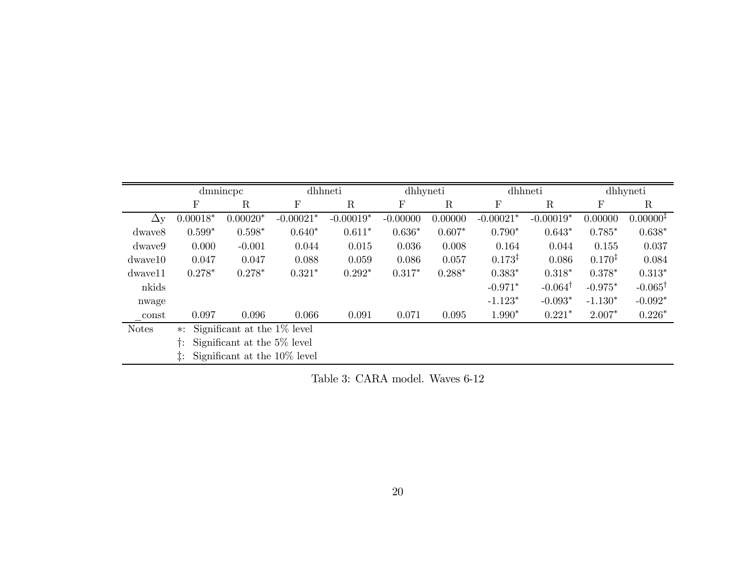|               | dmnincpc                                      |                                 | dhhneti     |             | dhhyneti   |             | dhhneti              |                    | dhhyneti             |                    |  |
|---------------|-----------------------------------------------|---------------------------------|-------------|-------------|------------|-------------|----------------------|--------------------|----------------------|--------------------|--|
|               | F                                             | $\mathbf R$                     | $_{\rm F}$  | $\mathbf R$ | F          | $\mathbf R$ | F                    | $\mathbf R$        | F                    | $\rm R$            |  |
| $\Delta y$    | $0.00018*$                                    | $0.00020*$                      | $-0.00021*$ | $-0.00019*$ | $-0.00000$ | 0.00000     | $-0.00021*$          | $-0.00019*$        | 0.00000              | $0.00000*$         |  |
| dwaye8        | $0.599*$                                      | $0.598*$                        | $0.640*$    | $0.611*$    | $0.636*$   | $0.607*$    | $0.790*$             | $0.643*$           | $0.785*$             | $0.638*$           |  |
| dwaye9        | 0.000                                         | $-0.001$                        | 0.044       | 0.015       | 0.036      | 0.008       | 0.164                | 0.044              | 0.155                | 0.037              |  |
| $d$ wave $10$ | 0.047                                         | 0.047                           | 0.088       | 0.059       | 0.086      | 0.057       | $0.173$ <sup>1</sup> | 0.086              | $0.170$ <sup>1</sup> | 0.084              |  |
| $d$ wave $11$ | $0.278*$                                      | $0.278*$                        | $0.321*$    | $0.292*$    | $0.317*$   | $0.288*$    | $0.383*$             | $0.318*$           | $0.378*$             | $0.313*$           |  |
| nkids         |                                               |                                 |             |             |            |             | $-0.971*$            | $-0.064^{\dagger}$ | $-0.975*$            | $-0.065^{\dagger}$ |  |
| nwage         |                                               |                                 |             |             |            |             | $-1.123*$            | $-0.093*$          | $-1.130*$            | $-0.092*$          |  |
| const         | 0.097                                         | 0.096                           | 0.066       | 0.091       | 0.071      | 0.095       | $1.990*$             | $0.221*$           | $2.007*$             | $0.226*$           |  |
| <b>Notes</b>  | Significant at the $1\%$ level<br>$\ast$ :    |                                 |             |             |            |             |                      |                    |                      |                    |  |
|               | $\dagger$ :<br>Significant at the $5\%$ level |                                 |             |             |            |             |                      |                    |                      |                    |  |
|               | ‡:                                            | Significant at the $10\%$ level |             |             |            |             |                      |                    |                      |                    |  |

Table 3: CARA model. Waves 6-12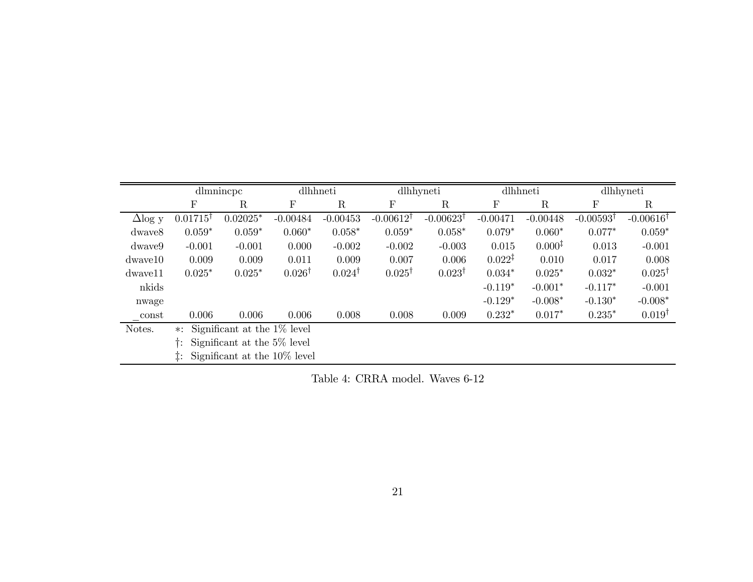|                | dlmnincpc                                  |                               | dlhhneti          |                   | dlhhyneti            |                      | dlhhneti    |                    | dlhhyneti            |                      |  |
|----------------|--------------------------------------------|-------------------------------|-------------------|-------------------|----------------------|----------------------|-------------|--------------------|----------------------|----------------------|--|
|                | F                                          | $\mathbf R$                   | F                 | $\mathbf R$       | F                    | $\mathbf R$          | F           | $\mathbf R$        | F                    | R                    |  |
| $\Delta$ log y | $0.01715^{\dagger}$                        | $0.02025*$                    | $-0.00484$        | $-0.00453$        | $-0.00612^{\dagger}$ | $-0.00623^{\dagger}$ | $-0.00471$  | $-0.00448$         | $-0.00593^{\dagger}$ | $-0.00616^{\dagger}$ |  |
| dwaye8         | $0.059*$                                   | $0.059*$                      | $0.060*$          | $0.058*$          | $0.059*$             | $0.058*$             | $0.079*$    | $0.060*$           | $0.077*$             | $0.059*$             |  |
| dwaye9         | $-0.001$                                   | $-0.001$                      | 0.000             | $-0.002$          | $-0.002$             | $-0.003$             | 0.015       | 0.000 <sup>‡</sup> | 0.013                | $-0.001$             |  |
| $d$ wave $10$  | 0.009                                      | 0.009                         | 0.011             | 0.009             | 0.007                | 0.006                | $0.022^{1}$ | 0.010              | 0.017                | 0.008                |  |
| $d$ wave $11$  | $0.025*$                                   | $0.025*$                      | $0.026^{\dagger}$ | $0.024^{\dagger}$ | $0.025^{\dagger}$    | $0.023^{\dagger}$    | $0.034*$    | $0.025*$           | $0.032*$             | $0.025^{\dagger}$    |  |
| nkids          |                                            |                               |                   |                   |                      |                      | $-0.119*$   | $-0.001*$          | $-0.117*$            | $-0.001$             |  |
| nwage          |                                            |                               |                   |                   |                      |                      | $-0.129*$   | $-0.008*$          | $-0.130*$            | $-0.008*$            |  |
| const          | 0.006                                      | 0.006                         | 0.006             | 0.008             | 0.008                | 0.009                | $0.232*$    | $0.017*$           | $0.235*$             | $0.019^{\dagger}$    |  |
| Notes.         | Significant at the $1\%$ level<br>$\ast$ : |                               |                   |                   |                      |                      |             |                    |                      |                      |  |
|                | Significant at the 5% level                |                               |                   |                   |                      |                      |             |                    |                      |                      |  |
|                |                                            | Significant at the 10\% level |                   |                   |                      |                      |             |                    |                      |                      |  |

Table 4: CRRA model. Waves 6-12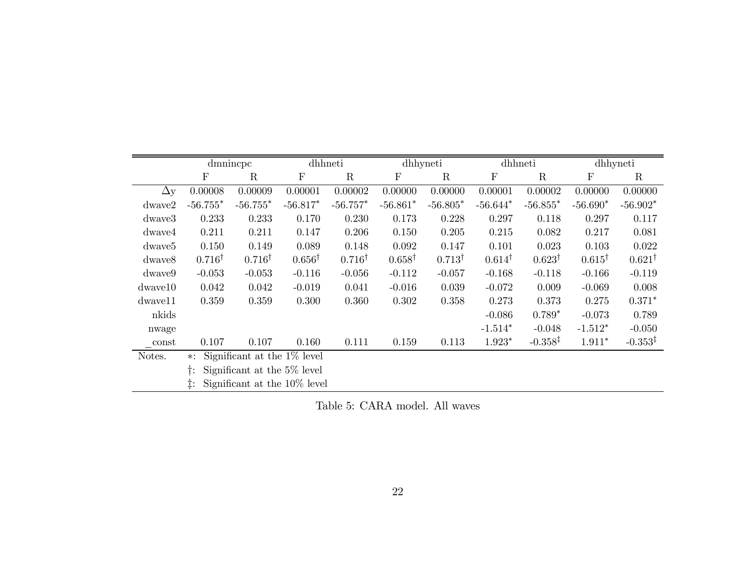|                    | dmnincpc          |                                | dhhneti                      |                   |                   | dhhyneti          |                           | dhhneti               |                   | dhhyneti            |
|--------------------|-------------------|--------------------------------|------------------------------|-------------------|-------------------|-------------------|---------------------------|-----------------------|-------------------|---------------------|
|                    | F                 | $\mathbf R$                    | $\mathbf{F}$                 | $\mathbf R$       | $\mathbf{F}$      | $\mathbf R$       | $\boldsymbol{\mathrm{F}}$ | ${\bf R}$             | $\mathbf F$       | R                   |
| $\Delta y$         | 0.00008           | 0.00009                        | 0.00001                      | 0.00002           | 0.00000           | 0.00000           | 0.00001                   | 0.00002               | 0.00000           | 0.00000             |
| dwave2             | $-56.755*$        | $-56.755*$                     | $-56.817*$                   | $-56.757*$        | $-56.861*$        | $-56.805*$        | $-56.644*$                | $-56.855*$            | $-56.690*$        | $-56.902*$          |
| dwaye3             | 0.233             | 0.233                          | 0.170                        | 0.230             | 0.173             | 0.228             | 0.297                     | 0.118                 | 0.297             | 0.117               |
| dwave4             | 0.211             | 0.211                          | 0.147                        | 0.206             | 0.150             | 0.205             | 0.215                     | 0.082                 | 0.217             | 0.081               |
| dwaye <sub>5</sub> | 0.150             | 0.149                          | 0.089                        | 0.148             | 0.092             | 0.147             | 0.101                     | 0.023                 | 0.103             | 0.022               |
| dwave8             | $0.716^{\dagger}$ | $0.716^{\dagger}$              | $0.656^{\dagger}$            | $0.716^{\dagger}$ | $0.658^{\dagger}$ | $0.713^{\dagger}$ | $0.614^{\dagger}$         | $0.623^{\dagger}$     | $0.615^{\dagger}$ | $0.621^{\dagger}$   |
| dwaye9             | $-0.053$          | $-0.053$                       | $-0.116$                     | $-0.056$          | $-0.112$          | $-0.057$          | $-0.168$                  | $-0.118$              | $-0.166$          | $-0.119$            |
| $d$ wave $10$      | 0.042             | 0.042                          | $-0.019$                     | 0.041             | $-0.016$          | 0.039             | $-0.072$                  | 0.009                 | $-0.069$          | 0.008               |
| $d$ wave $11$      | 0.359             | 0.359                          | 0.300                        | 0.360             | 0.302             | 0.358             | 0.273                     | 0.373                 | 0.275             | $0.371*$            |
| nkids              |                   |                                |                              |                   |                   |                   | $-0.086$                  | $0.789*$              | $-0.073$          | 0.789               |
| nwage              |                   |                                |                              |                   |                   |                   | $-1.514*$                 | $-0.048$              | $-1.512*$         | $-0.050$            |
| const              | 0.107             | 0.107                          | 0.160                        | 0.111             | 0.159             | 0.113             | $1.923*$                  | $-0.358$ <sup>‡</sup> | $1.911*$          | $-0.353^{\ddagger}$ |
| Notes.             | $\ast$ :          | Significant at the $1\%$ level |                              |                   |                   |                   |                           |                       |                   |                     |
|                    | t:                | Significant at the 5% level    |                              |                   |                   |                   |                           |                       |                   |                     |
|                    | ţ.                |                                | Significant at the 10% level |                   |                   |                   |                           |                       |                   |                     |

Table 5: CARA model. All waves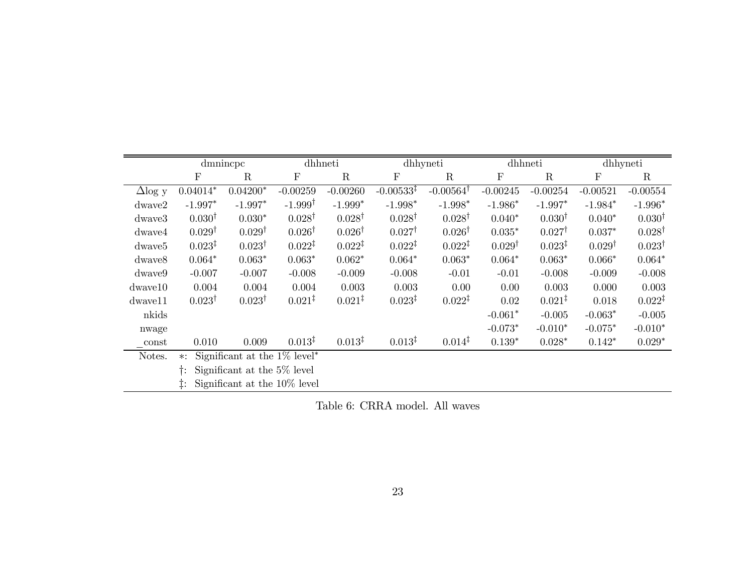|                    | dmnincpc                                    |                              |                           | dhhneti            |                       | dhhyneti             | dhhneti           |                    |                   | dhhyneti           |  |
|--------------------|---------------------------------------------|------------------------------|---------------------------|--------------------|-----------------------|----------------------|-------------------|--------------------|-------------------|--------------------|--|
|                    | ${\bf F}$                                   | $\mathbf R$                  | $\boldsymbol{\mathrm{F}}$ | $\mathbf R$        | F                     | $\mathbf R$          | $\mathbf F$       | $\mathbf R$        | $\mathbf{F}$      | $\mathbf R$        |  |
| $\Delta$ log y     | $0.04014*$                                  | $0.04200*$                   | $-0.00259$                | $-0.00260$         | $-0.00533^{\ddagger}$ | $-0.00564^{\dagger}$ | $-0.00245$        | $-0.00254$         | $-0.00521$        | $-0.00554$         |  |
| $d$ wave $2$       | $-1.997*$                                   | $-1.997*$                    | $-1.999^{\dagger}$        | $-1.999*$          | $-1.998*$             | $-1.998*$            | $-1.986*$         | $-1.997*$          | $-1.984*$         | $-1.996*$          |  |
| dwaye3             | $0.030^{\dagger}$                           | $0.030*$                     | $0.028^{\dagger}$         | $0.028^{\dagger}$  | $0.028^{\dagger}$     | $0.028^{\dagger}$    | $0.040*$          | $0.030^{\dagger}$  | $0.040*$          | $0.030^{\dagger}$  |  |
| $d$ wave $4$       | $0.029^{\dagger}$                           | $0.029^{\dagger}$            | $0.026^{\dagger}$         | $0.026^{\dagger}$  | $0.027^{\dagger}$     | $0.026^{\dagger}$    | $0.035*$          | $0.027^{\dagger}$  | $0.037*$          | $0.028^{\dagger}$  |  |
| dwave <sub>5</sub> | $0.023^{\ddagger}$                          | $0.023^{\dagger}$            | $0.022^{\ddagger}$        | $0.022^{\ddagger}$ | $0.022^{\ddagger}$    | $0.022^{\ddagger}$   | $0.029^{\dagger}$ | $0.023^{\ddagger}$ | $0.029^{\dagger}$ | $0.023^{\dagger}$  |  |
| dwaye8             | $0.064*$                                    | $0.063*$                     | $0.063*$                  | $0.062*$           | $0.064*$              | $0.063*$             | $0.064*$          | $0.063*$           | $0.066*$          | $0.064*$           |  |
| dwaye9             | $-0.007$                                    | $-0.007$                     | $-0.008$                  | $-0.009$           | $-0.008$              | $-0.01$              | $-0.01$           | $-0.008$           | $-0.009$          | $-0.008$           |  |
| $d$ wave $10$      | 0.004                                       | 0.004                        | 0.004                     | 0.003              | 0.003                 | 0.00                 | 0.00              | 0.003              | 0.000             | 0.003              |  |
| $d$ wave $11$      | $0.023^{\dagger}$                           | $0.023^{\dagger}$            | $0.021^{\ddagger}$        | $0.021^{\ddagger}$ | $0.023^{\ddagger}$    | $0.022^{\ddagger}$   | 0.02              | $0.021^{\ddagger}$ | 0.018             | $0.022^{\ddagger}$ |  |
| nkids              |                                             |                              |                           |                    |                       |                      | $-0.061*$         | $-0.005$           | $-0.063*$         | $-0.005$           |  |
| nwage              |                                             |                              |                           |                    |                       |                      | $-0.073*$         | $-0.010*$          | $-0.075*$         | $-0.010*$          |  |
| const              | 0.010                                       | 0.009                        | $0.013^{\ddagger}$        | $0.013^{\ddagger}$ | $0.013^{\ddagger}$    | $0.014^{\ddagger}$   | $0.139*$          | $0.028*$           | $0.142*$          | $0.029*$           |  |
| Notes.             | Significant at the $1\%$ level*<br>$\ast$ : |                              |                           |                    |                       |                      |                   |                    |                   |                    |  |
|                    | t:                                          | Significant at the 5% level  |                           |                    |                       |                      |                   |                    |                   |                    |  |
|                    |                                             | Significant at the 10% level |                           |                    |                       |                      |                   |                    |                   |                    |  |

Table 6: CRRA model. All waves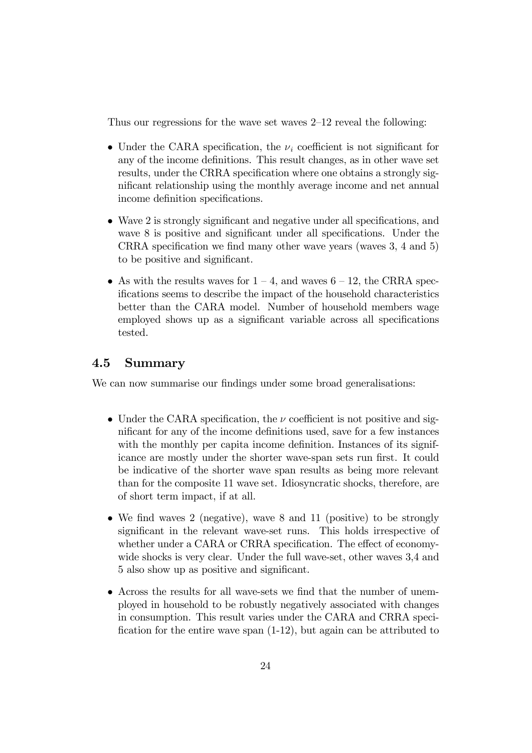Thus our regressions for the wave set waves  $2-12$  reveal the following:

- Under the CARA specification, the  $\nu_i$  coefficient is not significant for any of the income definitions. This result changes, as in other wave set results, under the CRRA specification where one obtains a strongly significant relationship using the monthly average income and net annual income definition specifications.
- $\bullet$  Wave 2 is strongly significant and negative under all specifications, and wave 8 is positive and significant under all specifications. Under the CRRA specification we find many other wave years (waves  $3, 4$  and  $5$ ) to be positive and significant.
- As with the results waves for  $1 4$ , and waves  $6 12$ , the CRRA specifications seems to describe the impact of the household characteristics better than the CARA model. Number of household members wage employed shows up as a significant variable across all specifications tested.

#### 4.5 Summary

We can now summarise our findings under some broad generalisations:

- Under the CARA specification, the  $\nu$  coefficient is not positive and significant for any of the income definitions used, save for a few instances with the monthly per capita income definition. Instances of its significance are mostly under the shorter wave-span sets run first. It could be indicative of the shorter wave span results as being more relevant than for the composite 11 wave set. Idiosyncratic shocks, therefore, are of short term impact, if at all.
- We find waves 2 (negative), wave 8 and 11 (positive) to be strongly significant in the relevant wave-set runs. This holds irrespective of whether under a CARA or CRRA specification. The effect of economywide shocks is very clear. Under the full wave-set, other waves 3,4 and 5 also show up as positive and significant.
- Across the results for all wave-sets we find that the number of unemployed in household to be robustly negatively associated with changes in consumption. This result varies under the CARA and CRRA specification for the entire wave span  $(1-12)$ , but again can be attributed to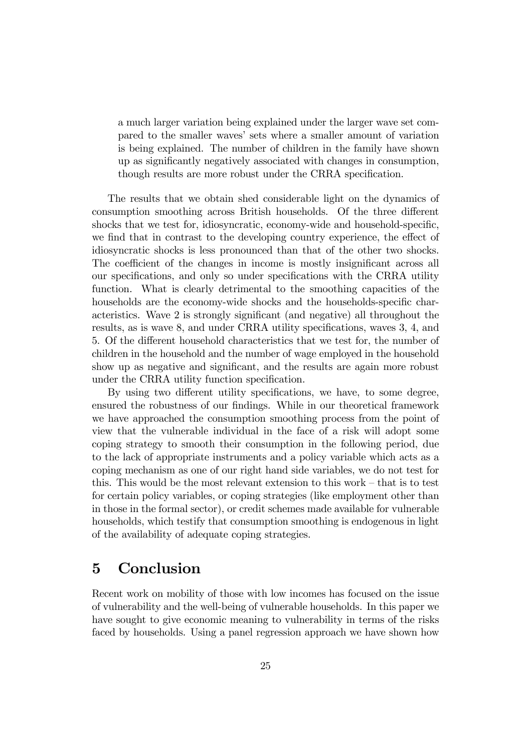a much larger variation being explained under the larger wave set compared to the smaller waves' sets where a smaller amount of variation is being explained. The number of children in the family have shown up as signiÖcantly negatively associated with changes in consumption, though results are more robust under the CRRA specification.

The results that we obtain shed considerable light on the dynamics of consumption smoothing across British households. Of the three different shocks that we test for, idiosyncratic, economy-wide and household-specific, we find that in contrast to the developing country experience, the effect of idiosyncratic shocks is less pronounced than that of the other two shocks. The coefficient of the changes in income is mostly insignificant across all our specifications, and only so under specifications with the CRRA utility function. What is clearly detrimental to the smoothing capacities of the households are the economy-wide shocks and the households-specific characteristics. Wave 2 is strongly significant (and negative) all throughout the results, as is wave 8, and under CRRA utility specifications, waves 3, 4, and 5. Of the different household characteristics that we test for, the number of children in the household and the number of wage employed in the household show up as negative and significant, and the results are again more robust under the CRRA utility function specification.

By using two different utility specifications, we have, to some degree, ensured the robustness of our findings. While in our theoretical framework we have approached the consumption smoothing process from the point of view that the vulnerable individual in the face of a risk will adopt some coping strategy to smooth their consumption in the following period, due to the lack of appropriate instruments and a policy variable which acts as a coping mechanism as one of our right hand side variables, we do not test for this. This would be the most relevant extension to this work  $-$  that is to test for certain policy variables, or coping strategies (like employment other than in those in the formal sector), or credit schemes made available for vulnerable households, which testify that consumption smoothing is endogenous in light of the availability of adequate coping strategies.

### 5 Conclusion

Recent work on mobility of those with low incomes has focused on the issue of vulnerability and the well-being of vulnerable households. In this paper we have sought to give economic meaning to vulnerability in terms of the risks faced by households. Using a panel regression approach we have shown how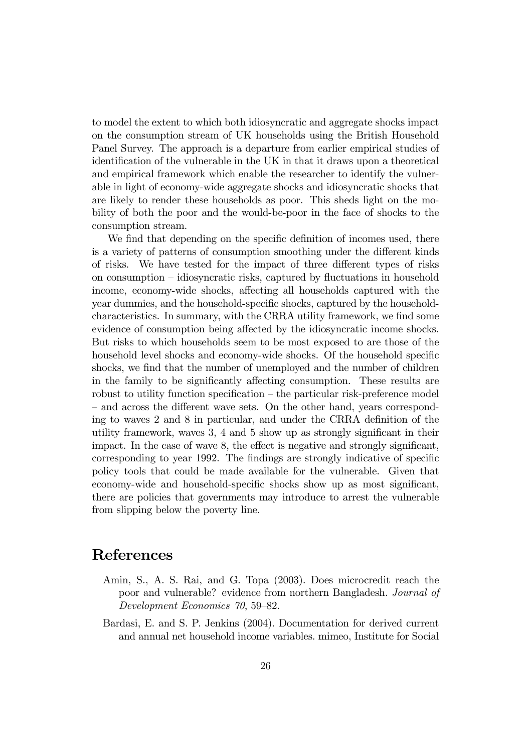to model the extent to which both idiosyncratic and aggregate shocks impact on the consumption stream of UK households using the British Household Panel Survey. The approach is a departure from earlier empirical studies of identification of the vulnerable in the UK in that it draws upon a theoretical and empirical framework which enable the researcher to identify the vulnerable in light of economy-wide aggregate shocks and idiosyncratic shocks that are likely to render these households as poor. This sheds light on the mobility of both the poor and the would-be-poor in the face of shocks to the consumption stream.

We find that depending on the specific definition of incomes used, there is a variety of patterns of consumption smoothing under the different kinds of risks. We have tested for the impact of three different types of risks on consumption  $\overline{\phantom{a}}$ -idiosyncratic risks, captured by fluctuations in household income, economy-wide shocks, affecting all households captured with the year dummies, and the household-specific shocks, captured by the householdcharacteristics. In summary, with the CRRA utility framework, we find some evidence of consumption being affected by the idiosyncratic income shocks. But risks to which households seem to be most exposed to are those of the household level shocks and economy-wide shocks. Of the household specific shocks, we find that the number of unemployed and the number of children in the family to be significantly affecting consumption. These results are robust to utility function specification  $-\text{ the particular risk-preference model}$ – and across the different wave sets. On the other hand, years corresponding to waves  $2$  and  $8$  in particular, and under the CRRA definition of the utility framework, waves  $3, 4$  and  $5$  show up as strongly significant in their impact. In the case of wave 8, the effect is negative and strongly significant, corresponding to year 1992. The findings are strongly indicative of specific policy tools that could be made available for the vulnerable. Given that economy-wide and household-specific shocks show up as most significant, there are policies that governments may introduce to arrest the vulnerable from slipping below the poverty line.

#### References

- Amin, S., A. S. Rai, and G. Topa (2003). Does microcredit reach the poor and vulnerable? evidence from northern Bangladesh. Journal of Development Economics 70, 59–82.
- Bardasi, E. and S. P. Jenkins (2004). Documentation for derived current and annual net household income variables. mimeo, Institute for Social